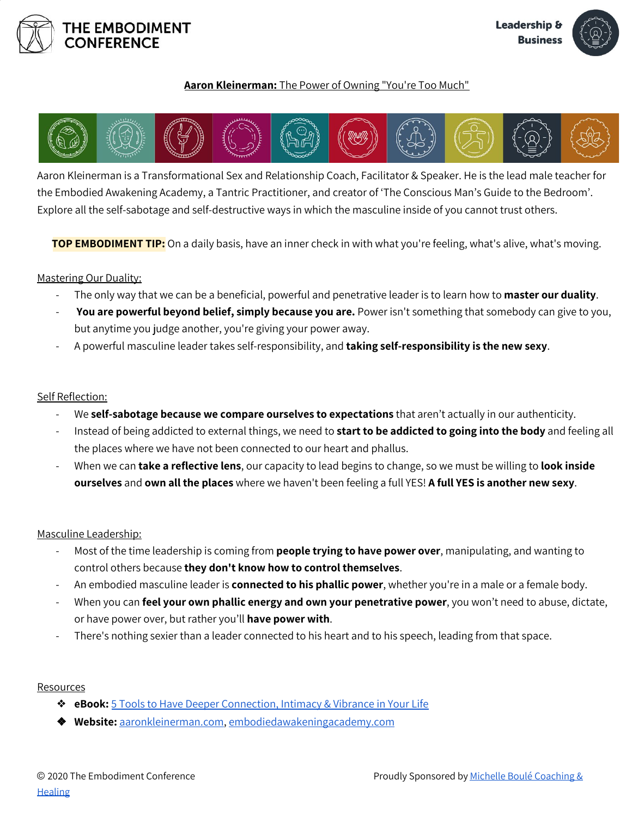



## **Aaron Kleinerman:** The Power of Owning "You're Too Much"



Aaron Kleinerman is a Transformational Sex and Relationship Coach, Facilitator & Speaker. He is the lead male teacher for the Embodied Awakening Academy, a Tantric Practitioner, and creator of 'The Conscious Man's Guide to the Bedroom'. Explore all the self-sabotage and self-destructive ways in which the masculine inside of you cannot trust others.

**TOP EMBODIMENT TIP:** On a daily basis, have an inner check in with what you're feeling, what's alive, what's moving.

### Mastering Our Duality:

- The only way that we can be a beneficial, powerful and penetrative leader is to learn how to **master our duality**.
- **You are powerful beyond belief, simply because you are.** Power isn't something that somebody can give to you, but anytime you judge another, you're giving your power away.
- A powerful masculine leader takes self-responsibility, and **taking self-responsibility is the new sexy**.

#### Self Reflection:

- We **self-sabotage because we compare ourselves to expectations** that aren't actually in our authenticity.
- Instead of being addicted to external things, we need to **start to be addicted to going into the body** and feeling all the places where we have not been connected to our heart and phallus.
- When we can **take a reflective lens**, our capacity to lead begins to change, so we must be willing to **look inside ourselves** and **own all the places** where we haven't been feeling a full YES! **A full YES is another new sexy**.

#### Masculine Leadership:

- Most of the time leadership is coming from **people trying to have power over**, manipulating, and wanting to control others because **they don't know how to control themselves**.
- An embodied masculine leader is **connected to his phallic power**, whether you're in a male or a female body.
- When you can **feel your own phallic energy and own your penetrative power**, you won't need to abuse, dictate, or have power over, but rather you'll **have power with**.
- There's nothing sexier than a leader connected to his heart and to his speech, leading from that space.

#### Resources

- ❖ **eBook:** 5 Tools to Have Deeper [Connection,](https://trainings.aaronkleinerman.com/5-tools) Intimacy & Vibrance in Your Life
- ❖ **Website:** [aaronkleinerman.com,](http://www.aaronkleinerman.com/) [embodiedawakeningacademy.com](http://www.embodiedawakeningacademy.com/)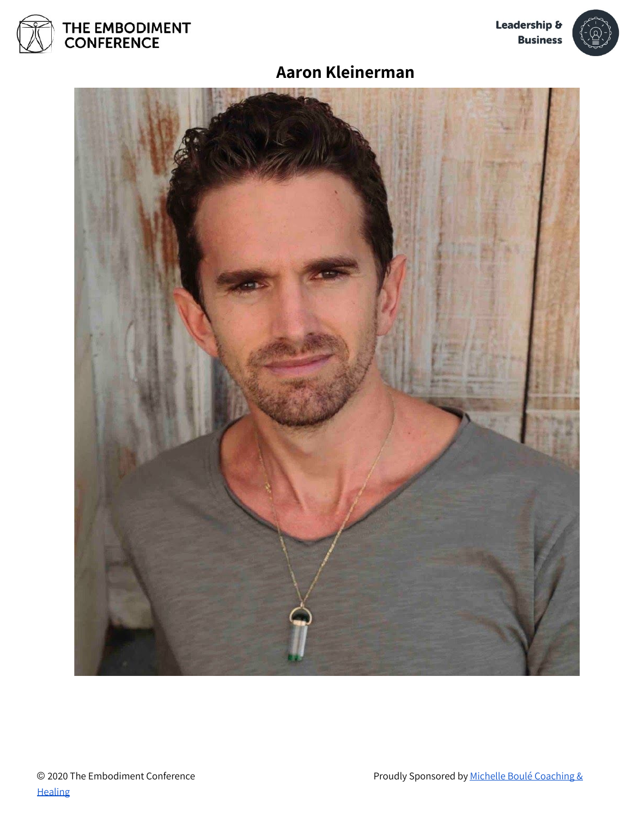



# **Aaron Kleinerman**